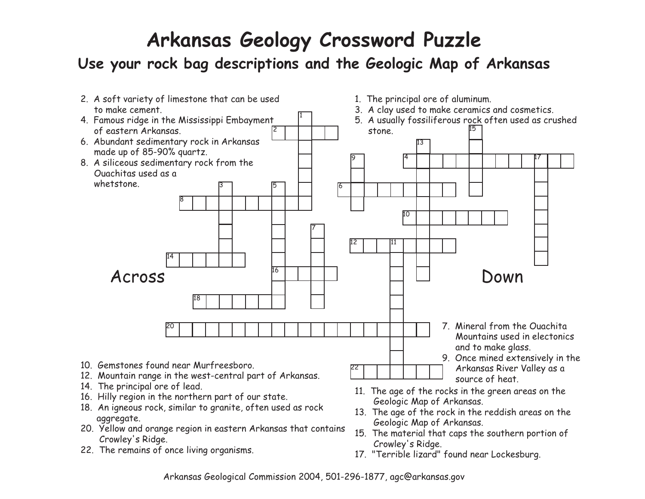# **Arkansas Geology Crossword Puzzle**

## **Use your rock bag descriptions and the Geologic Map of Arkansas**



- 20. Yellow and orange region in eastern Arkansas that containsCrowley's Ridge.
- 22. The remains of once living organisms.
- 15. The material that caps the southern portion of Crowley's Ridge.
- 17. "Terrible lizard" found near Lockesburg.